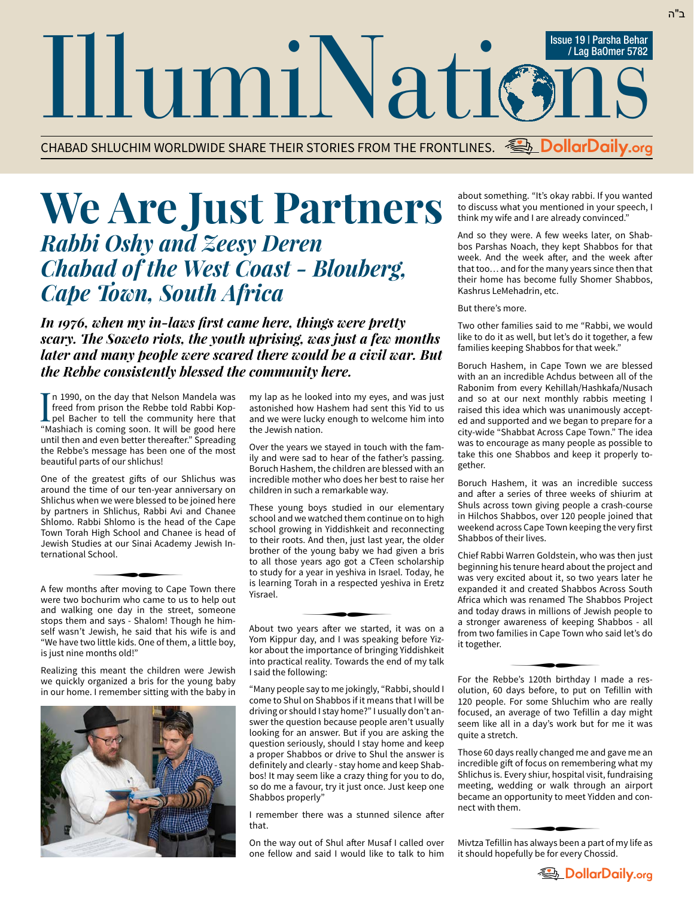CHABAD SHLUCHIM WORLDWIDE SHARE THEIR STORIES FROM THE FRONTLINES. **DollarDaily.org**

## **We Are Just Partners**  *Rabbi Oshy and Zeesy Deren Chabad of the West Coast - Blouberg, Cape Town, South Africa*

*In 1976, when my in-laws first came here, things were pretty scary. The Soweto riots, the youth uprising, was just a few months later and many people were scared there would be a civil war. But the Rebbe consistently blessed the community here.*

In 1990, on the day that Nelson Mandela was<br>freed from prison the Rebbe told Rabbi Kop-<br>pel Bacher to tell the community here that<br>"Mappiagh is coming onen It will here freed from prison the Rebbe told Rabbi Koppel Bacher to tell the community here that "Mashiach is coming soon. It will be good here until then and even better thereafter." Spreading the Rebbe's message has been one of the most beautiful parts of our shlichus!

One of the greatest gifts of our Shlichus was around the time of our ten-year anniversary on Shlichus when we were blessed to be joined here by partners in Shlichus, Rabbi Avi and Chanee Shlomo. Rabbi Shlomo is the head of the Cape Town Torah High School and Chanee is head of Jewish Studies at our Sinai Academy Jewish International School. ∑

A few months after moving to Cape Town there were two bochurim who came to us to help out and walking one day in the street, someone stops them and says - Shalom! Though he himself wasn't Jewish, he said that his wife is and "We have two little kids. One of them, a little boy, is just nine months old!"

Realizing this meant the children were Jewish we quickly organized a bris for the young baby in our home. I remember sitting with the baby in



my lap as he looked into my eyes, and was just astonished how Hashem had sent this Yid to us and we were lucky enough to welcome him into the Jewish nation.

Over the years we stayed in touch with the family and were sad to hear of the father's passing. Boruch Hashem, the children are blessed with an incredible mother who does her best to raise her children in such a remarkable way.

These young boys studied in our elementary school and we watched them continue on to high school growing in Yiddishkeit and reconnecting to their roots. And then, just last year, the older brother of the young baby we had given a bris to all those years ago got a CTeen scholarship to study for a year in yeshiva in Israel. Today, he is learning Torah in a respected yeshiva in Eretz Yisrael. ∑

About two years after we started, it was on a Yom Kippur day, and I was speaking before Yiz kor about the importance of bringing Yiddishkeit into practical reality. Towards the end of my talk I said the following:

"Many people say to me jokingly, "Rabbi, should I come to Shul on Shabbos if it means that I will be driving or should I stay home?" I usually don't answer the question because people aren't usually looking for an answer. But if you are asking the question seriously, should I stay home and keep a proper Shabbos or drive to Shul the answer is definitely and clearly - stay home and keep Shabbos! It may seem like a crazy thing for you to do, so do me a favour, try it just once. Just keep one Shabbos properly"

I remember there was a stunned silence after that.

On the way out of Shul after Musaf I called over one fellow and said I would like to talk to him about something. "It's okay rabbi. If you wanted to discuss what you mentioned in your speech, I think my wife and I are already convinced."

And so they were. A few weeks later, on Shabbos Parshas Noach, they kept Shabbos for that week. And the week after, and the week after that too… and for the many years since then that their home has become fully Shomer Shabbos, Kashrus LeMehadrin, etc.

## But there's more.

Two other families said to me "Rabbi, we would like to do it as well, but let's do it together, a few families keeping Shabbos for that week."

Boruch Hashem, in Cape Town we are blessed with an an incredible Achdus between all of the Rabonim from every Kehillah/Hashkafa/Nusach and so at our next monthly rabbis meeting I raised this idea which was unanimously accepted and supported and we began to prepare for a city-wide "Shabbat Across Cape Town." The idea was to encourage as many people as possible to take this one Shabbos and keep it properly together.

Boruch Hashem, it was an incredible success and after a series of three weeks of shiurim at Shuls across town giving people a crash-course in Hilchos Shabbos, over 120 people joined that weekend across Cape Town keeping the very first Shabbos of their lives.

Chief Rabbi Warren Goldstein, who was then just beginning his tenure heard about the project and was very excited about it, so two years later he expanded it and created Shabbos Across South Africa which was renamed The Shabbos Project and today draws in millions of Jewish people to a stronger awareness of keeping Shabbos - all from two families in Cape Town who said let's do it together. ∑

For the Rebbe's 120th birthday I made a res olution, 60 days before, to put on Tefillin with 120 people. For some Shluchim who are really focused, an average of two Tefillin a day might seem like all in a day's work but for me it was quite a stretch.

Those 60 days really changed me and gave me an incredible gift of focus on remembering what my Shlichus is. Every shiur, hospital visit, fundraising meeting, wedding or walk through an airport became an opportunity to meet Yidden and connect with them.  $\overline{z}$ 

Mivtza Tefillin has always been a part of my life as it should hopefully be for every Chossid.